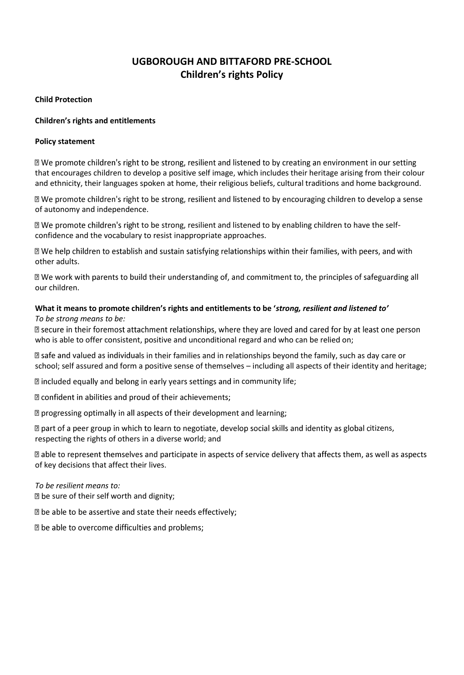# **UGBOROUGH AND BITTAFORD PRE-SCHOOL Children's rights Policy**

### **Child Protection**

### **Children's rights and entitlements**

### **Policy statement**

⊠ We promote children's right to be strong, resilient and listened to by creating an environment in our setting that encourages children to develop a positive self image, which includes their heritage arising from their colour and ethnicity, their languages spoken at home, their religious beliefs, cultural traditions and home background.

**Ⅱ** We promote children's right to be strong, resilient and listened to by encouraging children to develop a sense of autonomy and independence.

If We promote children's right to be strong, resilient and listened to by enabling children to have the selfconfidence and the vocabulary to resist inappropriate approaches.

If We help children to establish and sustain satisfying relationships within their families, with peers, and with other adults.

**Ⅱ** We work with parents to build their understanding of, and commitment to, the principles of safeguarding all our children.

#### **What it means to promote children's rights and entitlements to be '***strong, resilient and listened to' To be strong means to be:*

I secure in their foremost attachment relationships, where they are loved and cared for by at least one person who is able to offer consistent, positive and unconditional regard and who can be relied on;

 $\Box$  safe and valued as individuals in their families and in relationships beyond the family, such as day care or school; self assured and form a positive sense of themselves – including all aspects of their identity and heritage;

**Included equally and belong in early years settings and in community life;** 

Z confident in abilities and proud of their achievements;

**D** progressing optimally in all aspects of their development and learning;

 $\mathbb D$  part of a peer group in which to learn to negotiate, develop social skills and identity as global citizens, respecting the rights of others in a diverse world; and

able to represent themselves and participate in aspects of service delivery that affects them, as well as aspects of key decisions that affect their lives.

#### *To be resilient means to:*

**D** be sure of their self worth and dignity;

I be able to be assertive and state their needs effectively;

D be able to overcome difficulties and problems;